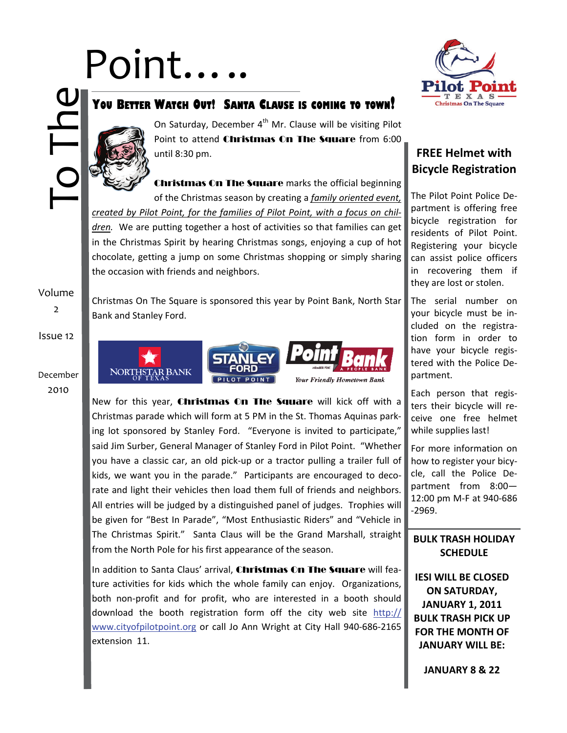# Point…..



### **YOU BETTER WATCH OUT! SANTA CLAUSE IS COMING TO TOWN!**



On Saturday, December 4<sup>th</sup> Mr. Clause will be visiting Pilot Point to attend Christmas On The Square from 6:00 until 8:30 pm.

Christmas On The Square marks the official beginning of the Christmas season by creating a *family oriented event, created by Pilot Point, for the families of Pilot Point, with a focus on chil‐ dren.* We are putting together a host of activities so that families can get in the Christmas Spirit by hearing Christmas songs, enjoying a cup of hot chocolate, getting a jump on some Christmas shopping or simply sharing the occasion with friends and neighbors.

Volume

2

Christmas On The Square is sponsored this year by Point Bank, North Star Bank and Stanley Ford.



New for this year, **Christmas On The Square** will kick off with a Christmas parade which will form at 5 PM in the St. Thomas Aquinas park‐ ing lot sponsored by Stanley Ford. "Everyone is invited to participate," said Jim Surber, General Manager of Stanley Ford in Pilot Point. "Whether you have a classic car, an old pick‐up or a tractor pulling a trailer full of kids, we want you in the parade." Participants are encouraged to decorate and light their vehicles then load them full of friends and neighbors. All entries will be judged by a distinguished panel of judges. Trophies will be given for "Best In Parade", "Most Enthusiastic Riders" and "Vehicle in The Christmas Spirit." Santa Claus will be the Grand Marshall, straight from the North Pole for his first appearance of the season.

In addition to Santa Claus' arrival, Christmas On The Square will feature activities for kids which the whole family can enjoy. Organizations, both non‐profit and for profit, who are interested in a booth should download the booth registration form off the city web site [http://](http://www.cityofpilotpoint.org) [www.cityofpilotpoint.org](http://www.cityofpilotpoint.org) or call Jo Ann Wright at City Hall 940‐686‐2165 extension 11.

#### **FREE Helmet with Bicycle Registration**

The Pilot Point Police De‐ partment is offering free bicycle registration for residents of Pilot Point. Registering your bicycle can assist police officers in recovering them if they are lost or stolen.

The serial number on your bicycle must be in‐ cluded on the registra‐ tion form in order to have your bicycle regis‐ tered with the Police De‐ partment.

Each person that regis‐ ters their bicycle will re‐ ceive one free helmet while supplies last!

For more information on how to register your bicy‐ cle, call the Police De‐ partment from 8:00— 12:00 pm M‐F at 940‐686 ‐2969.

#### **BULK TRASH HOLIDAY SCHEDULE**

**IESI WILL BE CLOSED ON SATURDAY, JANUARY 1, 2011 BULK TRASH PICK UP FOR THE MONTH OF JANUARY WILL BE:** 

**JANUARY 8 & 22**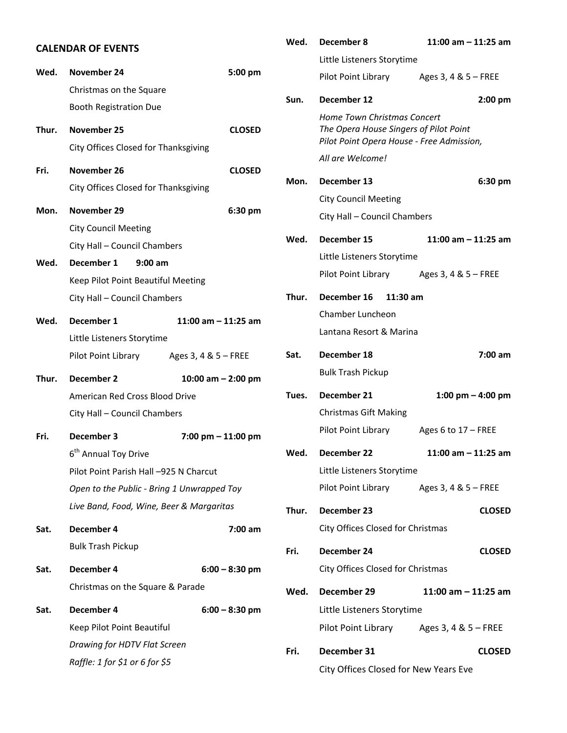|       | <b>CALENDAR OF EVENTS</b>                  |                       | Wed.  | December 8                        | 11:00 am $-$ 11:25 am                     |
|-------|--------------------------------------------|-----------------------|-------|-----------------------------------|-------------------------------------------|
|       |                                            |                       |       | Little Listeners Storytime        |                                           |
| Wed.  | November 24                                | 5:00 pm               |       | Pilot Point Library               | Ages 3, 4 & 5 - FREE                      |
|       | Christmas on the Square                    |                       | Sun.  | December 12                       | $2:00$ pm                                 |
|       | <b>Booth Registration Due</b>              |                       |       | Home Town Christmas Concert       |                                           |
| Thur. | November 25                                | <b>CLOSED</b>         |       |                                   | The Opera House Singers of Pilot Point    |
|       | City Offices Closed for Thanksgiving       |                       |       | All are Welcome!                  | Pilot Point Opera House - Free Admission, |
| Fri.  | November 26                                | <b>CLOSED</b>         |       |                                   |                                           |
|       | City Offices Closed for Thanksgiving       |                       | Mon.  | December 13                       | 6:30 pm                                   |
| Mon.  | November 29                                | 6:30 pm               |       | <b>City Council Meeting</b>       |                                           |
|       | <b>City Council Meeting</b>                |                       |       | City Hall - Council Chambers      |                                           |
|       | City Hall - Council Chambers               |                       | Wed.  | December 15                       | 11:00 am $-$ 11:25 am                     |
| Wed.  | December 1<br>$9:00$ am                    |                       |       | Little Listeners Storytime        |                                           |
|       | Keep Pilot Point Beautiful Meeting         |                       |       | Pilot Point Library               | Ages 3, 4 & 5 - FREE                      |
|       | City Hall - Council Chambers               |                       | Thur. | December 16                       | $11:30$ am                                |
|       |                                            |                       |       | Chamber Luncheon                  |                                           |
| Wed.  | December 1                                 | 11:00 am $-$ 11:25 am |       | Lantana Resort & Marina           |                                           |
|       | Little Listeners Storytime                 |                       |       |                                   |                                           |
|       | Pilot Point Library                        | Ages 3, 4 & 5 - FREE  | Sat.  | December 18                       | $7:00$ am                                 |
| Thur. | December 2                                 | 10:00 am $-$ 2:00 pm  |       | <b>Bulk Trash Pickup</b>          |                                           |
|       | American Red Cross Blood Drive             |                       | Tues. | December 21                       | 1:00 pm $-$ 4:00 pm                       |
|       | City Hall - Council Chambers               |                       |       | <b>Christmas Gift Making</b>      |                                           |
| Fri.  | December 3                                 | $7:00$ pm $-11:00$ pm |       | Pilot Point Library               | Ages 6 to $17$ – FREE                     |
|       | 6 <sup>th</sup> Annual Toy Drive           |                       | Wed.  | December 22                       | 11:00 am $-$ 11:25 am                     |
|       | Pilot Point Parish Hall -925 N Charcut     |                       |       | Little Listeners Storytime        |                                           |
|       | Open to the Public - Bring 1 Unwrapped Toy |                       |       | Pilot Point Library               | Ages 3, 4 & 5 - FREE                      |
|       | Live Band, Food, Wine, Beer & Margaritas   |                       | Thur. | December 23                       | <b>CLOSED</b>                             |
| Sat.  | December 4                                 | 7:00 am               |       | City Offices Closed for Christmas |                                           |
|       | <b>Bulk Trash Pickup</b>                   |                       | Fri.  | December 24                       | <b>CLOSED</b>                             |
|       |                                            |                       |       | City Offices Closed for Christmas |                                           |
| Sat.  | December 4                                 | $6:00 - 8:30$ pm      |       |                                   |                                           |
|       | Christmas on the Square & Parade           |                       | Wed.  | December 29                       | 11:00 am $-$ 11:25 am                     |
| Sat.  | December 4                                 | $6:00 - 8:30$ pm      |       | Little Listeners Storytime        |                                           |
|       | Keep Pilot Point Beautiful                 |                       |       | Pilot Point Library               | Ages 3, 4 & 5 - FREE                      |
|       | Drawing for HDTV Flat Screen               |                       | Fri.  | December 31                       | <b>CLOSED</b>                             |
|       | Raffle: 1 for \$1 or 6 for \$5             |                       |       |                                   | City Offices Closed for New Years Eve     |